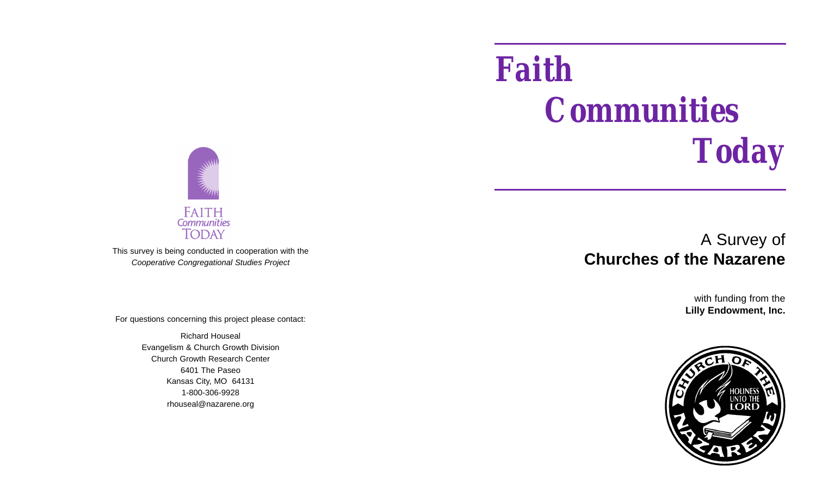# *Faith Communities Today*



This survey is being conducted in cooperation with the *Cooperative Congregational Studies Project*

For questions concerning this project please contact:

Richard Houseal Evangelism & Church Growth Division Church Growth Research Center 6401 The Paseo Kansas City, MO 64131 1-800-306-9928 rhouseal@nazarene.org

## A Survey of **Churches of the Nazarene**

with funding from the **Lilly Endowment, Inc.**

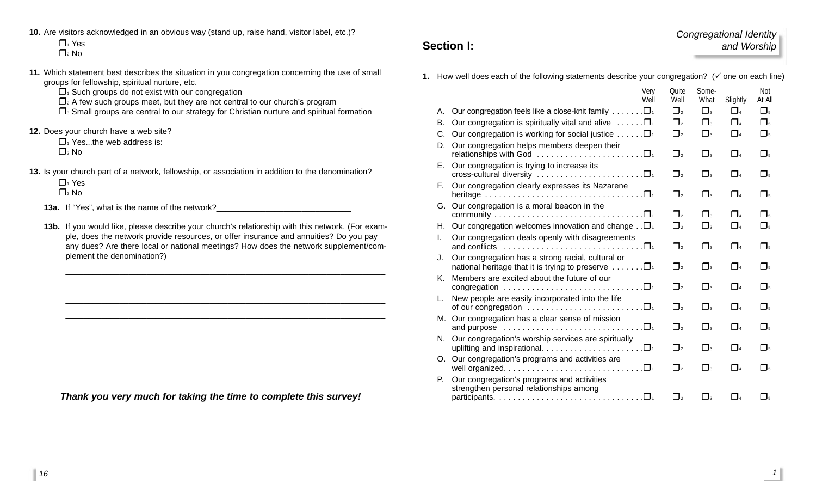**10.** Are visitors acknowledged in an obvious way (stand up, raise hand, visitor label, etc.)?

 $\Box$ <sup>1</sup> Yes  $\Box$ <sub>2</sub> No.

- **11.** Which statement best describes the situation in you congregation concerning the use of small groups for fellowship, spiritual nurture, etc.
	- $\Box$ <sup>1</sup> Such groups do not exist with our congregation
	- $\Box$ <sub>2</sub> A few such groups meet, but they are not central to our church's program
	- $\Box$  Small groups are central to our strategy for Christian nurture and spiritual formation
- **12.** Does your church have a web site?
	- $\Box$ <sup>1</sup> Yes...the web address is:  $\Box$ <sub>2</sub> No
- **13.** Is your church part of a network, fellowship, or association in addition to the denomination?

 $\Box$ <sup>1</sup> Yes  $\Box$ <sub>2</sub> No

- **13a.** If "Yes", what is the name of the network?\_\_\_\_\_\_\_\_\_\_\_\_\_\_\_\_\_\_\_\_\_\_\_\_\_\_\_\_\_\_\_\_
- **13b.** If you would like, please describe your church's relationship with this network. (For example, does the network provide resources, or offer insurance and annuities? Do you pay any dues? Are there local or national meetings? How does the network supplement/complement the denomination?)

\_\_\_\_\_\_\_\_\_\_\_\_\_\_\_\_\_\_\_\_\_\_\_\_\_\_\_\_\_\_\_\_\_\_\_\_\_\_\_\_\_\_\_\_\_\_\_\_\_\_\_\_\_\_\_\_\_\_\_\_\_\_\_\_\_\_\_\_\_\_\_

\_\_\_\_\_\_\_\_\_\_\_\_\_\_\_\_\_\_\_\_\_\_\_\_\_\_\_\_\_\_\_\_\_\_\_\_\_\_\_\_\_\_\_\_\_\_\_\_\_\_\_\_\_\_\_\_\_\_\_\_\_\_\_\_\_\_\_\_\_\_\_ \_\_\_\_\_\_\_\_\_\_\_\_\_\_\_\_\_\_\_\_\_\_\_\_\_\_\_\_\_\_\_\_\_\_\_\_\_\_\_\_\_\_\_\_\_\_\_\_\_\_\_\_\_\_\_\_\_\_\_\_\_\_\_\_\_\_\_\_\_\_\_

*Thank you very much for taking the time to complete this survey!*

### **Section I:**

*Congregational Identity and Worship*

**1.** How well does each of the following statements describe your congregation? ( $\checkmark$  one on each line)

|      | Very<br>Well                                                                                                                               | Quite<br>Well       | Some-<br>What | Slightly | Not<br>At All       |
|------|--------------------------------------------------------------------------------------------------------------------------------------------|---------------------|---------------|----------|---------------------|
| А.   | Our congregation feels like a close-knit family $\dots \dots \square$                                                                      | $\Box$ <sub>2</sub> | $\Box$        | $\Box$   | $\Box$              |
| В.   | Our congregation is spiritually vital and alive $\dots \dots \square$                                                                      | $\Box$ <sub>2</sub> | $\Box$ 3      | $\Box$ 4 | $\Box$              |
| C.   | Our congregation is working for social justice $\dots \dots \square$                                                                       | $\Box$ <sub>2</sub> | $\Box$        | $\Box$   | $\Box$              |
| D.   | Our congregation helps members deepen their                                                                                                | $\Box$ <sub>2</sub> | $\Box$        | $\Box$ 4 | $\Box$              |
| Е.   | Our congregation is trying to increase its                                                                                                 | $\Box$ <sub>2</sub> | $\Box$        | $\Box$ 4 | $\Box$              |
| Е.   | Our congregation clearly expresses its Nazarene                                                                                            | $\Box$ <sub>2</sub> | $\Box$ 3      | $\Box$ 4 | $\Box$              |
| G.   | Our congregation is a moral beacon in the                                                                                                  | $\Box$ <sub>2</sub> | $\Box$        | $\Box$ 4 | $\Box$ <sub>5</sub> |
| H. . | Our congregation welcomes innovation and change $\Box$                                                                                     | $\Box$ <sub>2</sub> | $\Box$ 3      | $\Box$   | $\Box$              |
| L.   | Our congregation deals openly with disagreements<br>and conflicts $\ldots \ldots \ldots \ldots \ldots \ldots \ldots \ldots \ldots \square$ | $\Box$ <sub>2</sub> | $\Box$        | $\Box$   | $\Box$              |
| J.   | Our congregation has a strong racial, cultural or<br>national heritage that it is trying to preserve $\dots \dots \square$                 | $\Box$              | $\Box$ 3      | $\Box$   | $\Box$ <sub>5</sub> |
| Κ.   | Members are excited about the future of our<br>congregation $\ldots \ldots \ldots \ldots \ldots \ldots \ldots \ldots \square$              | $\Box$              | $\Box_3$      | $\Box$ 4 | $\Box$ <sub>5</sub> |
| L.   | New people are easily incorporated into the life                                                                                           | $\mathsf{\Pi}_{2}$  | $\Box$        | $\Box$   | $\Box$ <sub>5</sub> |
| M.   | Our congregation has a clear sense of mission<br>and purpose $\ldots \ldots \ldots \ldots \ldots \ldots \ldots \ldots \ldots \square$      | $\Box$ <sub>2</sub> | $\Box$ 3      | $\Box$ 4 | $\Box$ <sub>5</sub> |
| N.   | Our congregation's worship services are spiritually<br>uplifting and inspirational. $\ldots \ldots \ldots \ldots \ldots \ldots \square$    | $\Box$ <sub>2</sub> | $\Box$        | $\Box$   | $\Box$ <sub>5</sub> |
| O.   | Our congregation's programs and activities are                                                                                             | $\Box$              | $\Box_3$      | $\Box$ 4 | $\Box$ <sub>5</sub> |
| P.   | Our congregation's programs and activities<br>strengthen personal relationships among                                                      |                     |               |          |                     |
|      |                                                                                                                                            | $\Box$              | $\Box$ 3      | $\Box$   | $\Pi_{5}$           |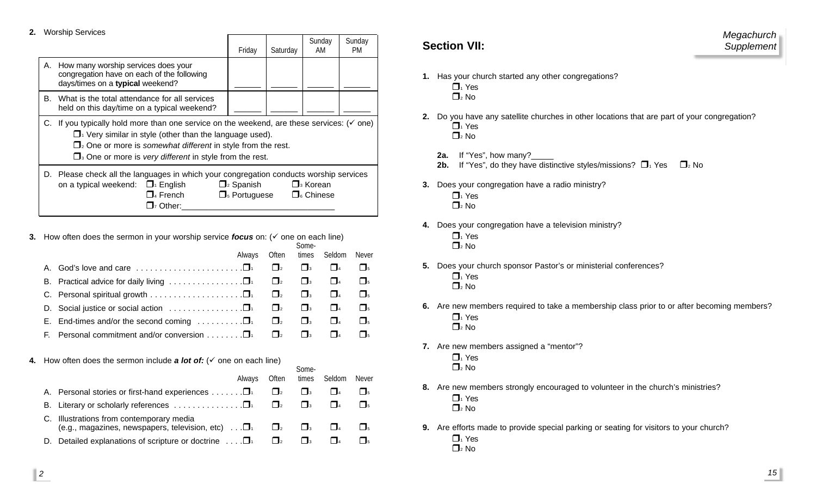**2.** Worship Services

|                                                                                                                                                                                                                                                                                                                              |                                                                                                                                                                                                                                                                                                                                     | Friday | Saturday | Sunday<br>AM | Sunday<br><b>PM</b> |  |  |
|------------------------------------------------------------------------------------------------------------------------------------------------------------------------------------------------------------------------------------------------------------------------------------------------------------------------------|-------------------------------------------------------------------------------------------------------------------------------------------------------------------------------------------------------------------------------------------------------------------------------------------------------------------------------------|--------|----------|--------------|---------------------|--|--|
| А.                                                                                                                                                                                                                                                                                                                           | How many worship services does your<br>congregation have on each of the following<br>days/times on a typical weekend?                                                                                                                                                                                                               |        |          |              |                     |  |  |
| В.                                                                                                                                                                                                                                                                                                                           | What is the total attendance for all services<br>held on this day/time on a typical weekend?                                                                                                                                                                                                                                        |        |          |              |                     |  |  |
|                                                                                                                                                                                                                                                                                                                              | C. If you typically hold more than one service on the weekend, are these services: $(\check{v})$ one)<br>$\Box$ Very similar in style (other than the language used).<br>$\Box$ <sub>2</sub> One or more is somewhat different in style from the rest.<br>$\Box$ <sup>3</sup> One or more is very different in style from the rest. |        |          |              |                     |  |  |
| D. Please check all the languages in which your congregation conducts worship services<br>$\square$ <sub>3</sub> Korean<br>on a typical weekend: $\Box_1$ English<br>$\Box$ <sub>2</sub> Spanish<br>$\square$ <sub>4</sub> French<br>$\Box$ <sub>5</sub> Portuguese<br>$\Box$ Chinese<br>$\mathbf{\mathsf{\Sigma}}_7$ Other: |                                                                                                                                                                                                                                                                                                                                     |        |          |              |                     |  |  |

**3.** How often does the sermon in your worship service *focus* on:  $(\check{ }$  one on each line)

| Always                                                                                             |                     |              | Often times Seldom | Never               |
|----------------------------------------------------------------------------------------------------|---------------------|--------------|--------------------|---------------------|
| A. God's love and care $\dots\dots\dots\dots\dots\dots\dots\dots\dots$                             | $\Box$ <sub>2</sub> | $\mathbf{I}$ | $\vert$ $\vert$ 4  | $\mathsf{L}$        |
|                                                                                                    |                     |              | $\Box$             | $\Box$ <sub>5</sub> |
|                                                                                                    |                     | $\Box$       |                    | $\Box$ <sub>5</sub> |
| D. Social justice or social action $\ldots \ldots \ldots \ldots \square$ $\Box$                    |                     |              | $\vert$ $\vert$ 4  | $\Box$ <sub>5</sub> |
| E. End-times and/or the second coming $\ldots \ldots \ldots \square$ $\blacksquare$ $\blacksquare$ |                     |              | $\Box$             | $\Box$ <sub>5</sub> |
| F. Personal commitment and/or conversion $\Box_1$ $\Box_2$                                         |                     | $\mathbf{I}$ |                    |                     |
|                                                                                                    |                     |              |                    |                     |

Some-

 $Com<sub>2</sub>$ 

**4.** How often does the sermon include **a lot of:**  $(\checkmark)$  one on each line)

|    | Always                                                                                                                                                          | Often               | JUHIC-<br>times | Seldom       | Never         |  |
|----|-----------------------------------------------------------------------------------------------------------------------------------------------------------------|---------------------|-----------------|--------------|---------------|--|
|    | A. Personal stories or first-hand experiences $\Box$                                                                                                            | $\Box$ <sub>2</sub> | $\mathsf{L}$    | $\Box$ 4     | $\mathsf{L}$  |  |
|    |                                                                                                                                                                 |                     | $\mathbf{I}$    | $\mathbf{I}$ |               |  |
|    | C. Illustrations from contemporary media<br>(e.g., magazines, newspapers, television, etc) $\ldots$ $\Box$ <sub>1</sub> $\Box$ <sub>2</sub> $\Box$ <sub>3</sub> |                     |                 | $\Box$       | $\frac{1}{5}$ |  |
| D. | Detailed explanations of scripture or doctrine $\ldots \Box$                                                                                                    | $\Box$ <sub>2</sub> | $\mathbf{L}$    |              |               |  |

### **Section VII:**

- **1.** Has your church started any other congregations?  $\Box$ <sup>1</sup> Yes
	- $\Box$ <sub>2</sub> No
- **2.** Do you have any satellite churches in other locations that are part of your congregation?  $\overline{\Box}$  Yes  $\Box$ <sub>2</sub> No
	- 2a. If "Yes", how many?
	- **2b.** If "Yes", do they have distinctive styles/missions?  $\Box_1$  Yes  $\Box_2$  No
- **3.** Does your congregation have a radio ministry?
	- $\Box_1$  Yes  $\Box$ <sub>2</sub> No
- **4.** Does your congregation have a television ministry?  $\P$ <sub>1</sub> Yes  $\Box$ <sub>2</sub> No
- **5.** Does your church sponsor Pastor's or ministerial conferences?
	- $\Box$ <sup>1</sup> Yes
	- $\Box$ <sub>2</sub> No
- **6.** Are new members required to take a membership class prior to or after becoming members?  $\Box$ <sup>1</sup> Yes  $\mathsf{\Pi}_2$  No
- **7.** Are new members assigned a "mentor"?  $\Box_1$  Yes
	- $\prod_2$  No
- **8.** Are new members strongly encouraged to volunteer in the church's ministries?  $\Box$ <sup>1</sup> Yes  $\Box$ <sub>2</sub> No.
- **9.** Are efforts made to provide special parking or seating for visitors to your church?  $\Box_1$  Yes  $\Box$ <sub>2</sub> No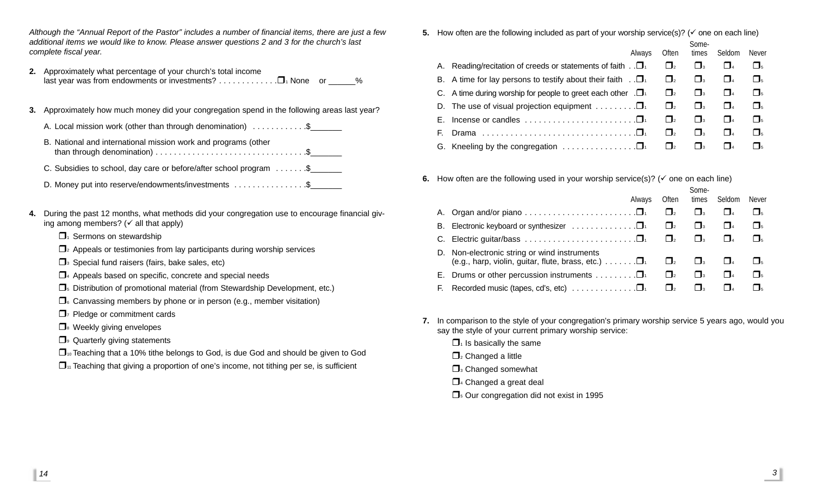*Although the "Annual Report of the Pastor" includes a number of financial items, there are just a few additional items we would like to know. Please answer questions 2 and 3 for the church's last complete fiscal year.*

- **2.** Approximately what percentage of your church's total income last year was from endowments or investments?  $\dots \dots \dots \dots \square$  None or  $\%$
- **3.** Approximately how much money did your congregation spend in the following areas last year?
	- A. Local mission work (other than through denomination)  $\dots \dots \dots$
	- B. National and international mission work and programs (other than through denomination) . . . . . . . . . . . . . . . . . . . . . . . . . . . . . . . . .\$\_\_\_\_\_\_\_
	- C. Subsidies to school, day care or before/after school program . . . . . . \$
	- D. Money put into reserve/endowments/investments ..................\$
- **4.** During the past 12 months, what methods did your congregation use to encourage financial giving among members? ( $\checkmark$  all that apply)
	- $\Box$ <sup>1</sup> Sermons on stewardship
	- $\Box$ <sub>2</sub> Appeals or testimonies from lay participants during worship services
	- $\Box$ <sup>3</sup> Special fund raisers (fairs, bake sales, etc)
	- $\Box$ <sup>4</sup> Appeals based on specific, concrete and special needs
	- $\Box$ <sub>5</sub> Distribution of promotional material (from Stewardship Development, etc.)
	- $\Box$  Canvassing members by phone or in person (e.g., member visitation)
	- $\Box$ <sup>7</sup> Pledge or commitment cards
	- $\Box$  Weekly giving envelopes
	- $\Box$  Quarterly giving statements
	- $\square$ <sub>10</sub> Teaching that a 10% tithe belongs to God, is due God and should be given to God
	- $\Box$ <sup>11</sup> Teaching that giving a proportion of one's income, not tithing per se, is sufficient

**5.** How often are the following included as part of your worship service(s)? ( $\checkmark$  one on each line)

|    | Always                                                                                 | Often               | Some-<br>times      | Seldom            | <b>Never</b>              |
|----|----------------------------------------------------------------------------------------|---------------------|---------------------|-------------------|---------------------------|
|    | A. Reading/recitation of creeds or statements of faith . $\square_1$                   | $\vert$ $\vert_2$   | $\Box$ <sub>3</sub> | $1\,$ 14          | $\Box$ <sub>5</sub>       |
|    | B. A time for lay persons to testify about their faith $\Box$                          | $\Box$ <sub>2</sub> | $\Box$ <sub>3</sub> | $\vert$ $I_4$     | $\Box$ <sub>5</sub>       |
|    | C. A time during worship for people to greet each other $\Box$                         | $\Box$ <sub>2</sub> | $\Box$ <sub>3</sub> | $\vert$ $I_4$     | $\mathbf{I}$              |
|    | D. The use of visual projection equipment $\dots \dots \dots \square$                  | $\Box$ <sub>2</sub> | $\Box$ <sub>3</sub> | $\vert$ $\vert$ 4 | $\Box$ <sub>5</sub>       |
| Е. | Incense or candles $\dots \dots \dots \dots \dots \dots \dots \dots \dots \dots \dots$ | $\mathbf{I}_2$      | $\mathsf{L}$        | l la              | $\mathbf{I}$ $\mathbf{I}$ |
| Е. | Drama                                                                                  | $\mathbf{I}$        | $\Box$ <sub>3</sub> | $\mathbf{I}$      | $\Box$ <sub>5</sub>       |
|    | G. Kneeling by the congregation $\ldots \ldots \ldots \ldots \square$                  | $\Box$ <sub>2</sub> | $\mathsf{L}$        | $\overline{a}$    |                           |

**6.** How often are the following used in your worship service(s)? ( $\checkmark$  one on each line)

|    |                                                                                                                        |                     | Some-               |                   |                           |
|----|------------------------------------------------------------------------------------------------------------------------|---------------------|---------------------|-------------------|---------------------------|
|    | Always                                                                                                                 | Often               | times               | Seldom            | <b>Never</b>              |
|    |                                                                                                                        | $\Box$ <sub>2</sub> | $\Box$ <sub>3</sub> | $\vert$ $\vert$ 4 | $\mathsf{L}_{\mathsf{L}}$ |
| В. | Electronic keyboard or synthesizer $\ldots \ldots \ldots \ldots \square$                                               | $\Box$ <sub>2</sub> | $\Box$ <sub>3</sub> | $\vert$ $\vert$ 4 | $\mathsf{L}$ $\mathsf{L}$ |
|    |                                                                                                                        | $\Box$ <sub>2</sub> | $\Box$ <sub>3</sub> |                   | $\mathsf{L}_{\mathsf{L}}$ |
|    | D. Non-electronic string or wind instruments<br>(e.g., harp, violin, guitar, flute, brass, etc.) $\dots \dots \square$ | $\Box$ <sub>2</sub> | $\Box$ <sub>3</sub> |                   | $\mathsf{L}$ $\mathsf{L}$ |
|    | E. Drums or other percussion instruments $\dots \dots \dots \square$                                                   | $\mathbf{I}_2$      | $\mathsf{L}$        | $\vert$ $\vert$ 4 | $\mathsf{L}$ $\mathsf{L}$ |
|    | F. Recorded music (tapes, cd's, etc) $\ldots \ldots \ldots \ldots \square$                                             | $\Box$ <sub>2</sub> | $\Box$ 3            | l la              |                           |

- **7.** In comparison to the style of your congregation's primary worship service 5 years ago, would you say the style of your current primary worship service:
	- $\Box$ <sup>1</sup> Is basically the same
	- $\Box$ <sub>2</sub> Changed a little
	- $\Box$ <sup>3</sup> Changed somewhat
	- $\Box$ <sub>4</sub> Changed a great deal
	- $\Box$ <sub>5</sub> Our congregation did not exist in 1995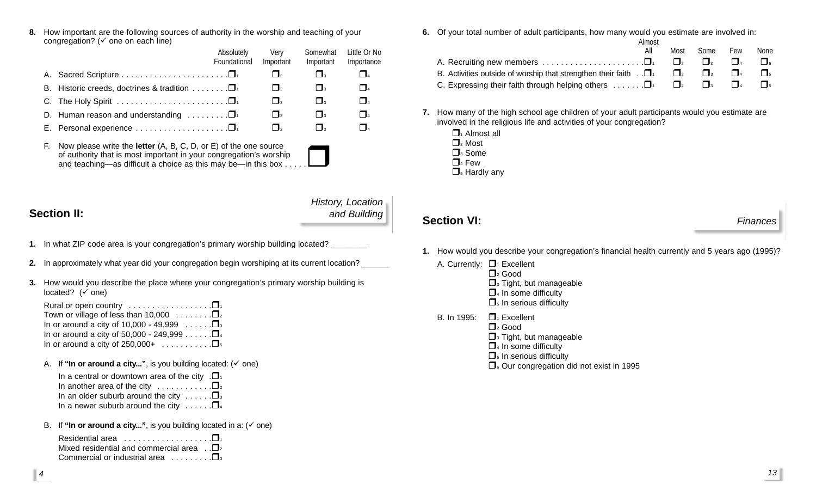**8.** How important are the following sources of authority in the worship and teaching of your congregation? ( $\checkmark$  one on each line)

|                                                                                                                                                                                                                                  |                                                                  | Absolutely<br>Foundational | Verv<br>Important   | Somewhat<br>Important | Little Or No<br>Importance |
|----------------------------------------------------------------------------------------------------------------------------------------------------------------------------------------------------------------------------------|------------------------------------------------------------------|----------------------------|---------------------|-----------------------|----------------------------|
|                                                                                                                                                                                                                                  |                                                                  |                            | $\Box$ <sub>2</sub> | $\Box$ 3              | $\Box$ 4                   |
|                                                                                                                                                                                                                                  | B. Historic creeds, doctrines & tradition $\ldots \ldots \ldots$ |                            | $\Box$ <sub>2</sub> | $\Box$ <sub>3</sub>   | $\Box$                     |
|                                                                                                                                                                                                                                  |                                                                  |                            | $\Box$ <sub>2</sub> | $\Box$ <sub>3</sub>   | $\Box$                     |
|                                                                                                                                                                                                                                  | D. Human reason and understanding $\ldots \ldots \square$        |                            | $\Box$ <sub>2</sub> | $\Box$ <sub>3</sub>   | $\Box$ 4                   |
|                                                                                                                                                                                                                                  |                                                                  |                            | $\Box$ <sub>2</sub> | $\Box$ <sub>3</sub>   | $\Box$                     |
| Now please write the <b>letter</b> $(A, B, C, D, or E)$ of the one source<br>F.<br>of authority that is most important in your congregation's worship<br>and teaching—as difficult a choice as this may be—in this box $\dots$ . |                                                                  |                            |                     |                       |                            |

### **Section II:**

### *History, Location and Building*

- **1.** In what ZIP code area is your congregation's primary worship building located?
- **2.** In approximately what year did your congregation begin worshiping at its current location? \_\_\_\_\_\_
- **3.** How would you describe the place where your congregation's primary worship building is located?  $(\check{ }$  one)
	- Rural or open country  $\dots \dots \dots \dots \dots \dots$ Town or village of less than 10,000  $\ldots \ldots \square$ In or around a city of 10,000 - 49,999  $\dots \dots \square$ In or around a city of 50,000 - 249,999  $\ldots \ldots \square$ <sup>4</sup> In or around a city of  $250,000+$  ............
	- A. If "In or around a city...", is you building located:  $($   $\checkmark$  one)
		- In a central or downtown area of the city  $\Box$ In another area of the city  $\ldots$ ......... In an older suburb around the city  $\ldots \square$ <sub>3</sub> In a newer suburb around the city  $\dots \dots \square$ <sup>4</sup>
	- B. If "In or around a city...", is you building located in a:  $(\check{\phantom{a}})$  one)

| Residential area $\ldots \ldots \ldots \ldots \ldots \square$      |
|--------------------------------------------------------------------|
| Mixed residential and commercial area $\Box$ .                     |
| Commercial or industrial area $\ldots \ldots \square$ <sub>3</sub> |

**6.** Of your total number of adult participants, how many would you estimate are involved in:

|                                                                                       | Almost |                     |                     |        |      |
|---------------------------------------------------------------------------------------|--------|---------------------|---------------------|--------|------|
|                                                                                       | All    | Most                | Some                | Few    | None |
| A. Recruiting new members $\dots \dots \dots \dots \dots \dots \dots \dots$           |        | $\Box$ <sub>2</sub> | $\Box$              | $\Box$ |      |
| B. Activities outside of worship that strengthen their faith $\Box$                   |        |                     | $\Box$ <sub>3</sub> |        |      |
| C. Expressing their faith through helping others $\ldots \ldots \square$ <sup>1</sup> |        |                     | $\Box$ <sub>3</sub> |        |      |

- **7.** How many of the high school age children of your adult participants would you estimate are involved in the religious life and activities of your congregation?
	- $\Box$ <sub>1</sub> Almost all  $\Box$ <sub>2</sub> Most  $\Box$ <sub>3</sub> Some  $\Box$ <sub>4</sub> Few  $\Box$ <sub>5</sub> Hardly any

### **Section VI:** *Finances*

- **1.** How would you describe your congregation's financial health currently and 5 years ago (1995)?
	- A. Currently:  $\Box_1$  Excellent  $\Box$ <sub>2</sub> Good  $\Box$ <sup>3</sup> Tight, but manageable  $\Box$ <sup>4</sup> In some difficulty  $\Box$ <sub>5</sub> In serious difficulty
	- B. In 1995:  $\Box$  Excellent
		- $\Box$ <sub>2</sub> Good
			- $\Box$ <sup>3</sup> Tight, but manageable
			- $\Box$ <sup>4</sup> In some difficulty
			- $\Box$ <sub>5</sub> In serious difficulty
			- $\Box$  Our congregation did not exist in 1995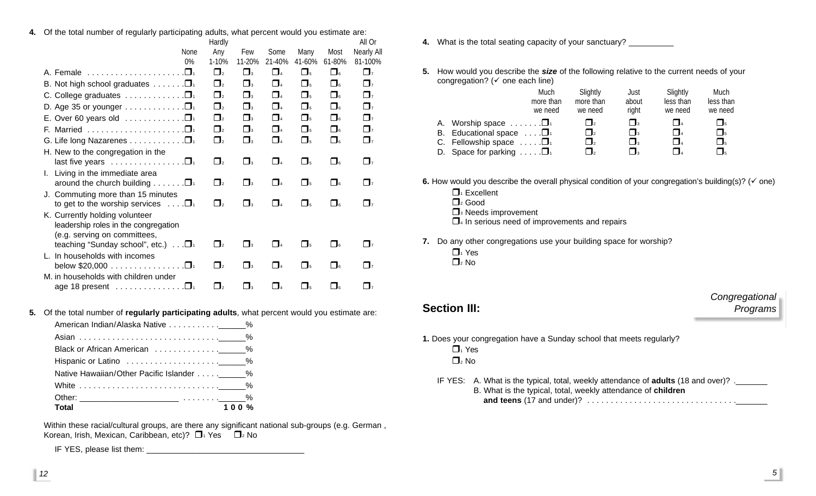**4.** Of the total number of regularly participating adults, what percent would you estimate are:

|                                                                                 |             | Hardly              |                     |          |                     |          | All Or      |
|---------------------------------------------------------------------------------|-------------|---------------------|---------------------|----------|---------------------|----------|-------------|
|                                                                                 | <b>None</b> | Any                 | Few                 | Some     | Many                | Most     | Nearly All  |
|                                                                                 | 0%          | 1-10%               | 11-20%              | 21-40%   | 41-60%              | 61-80%   | 81-100%     |
| A. Female                                                                       |             | $\Box$              | $\Box$ 3            | $\Box$ 4 | $\Box$              | $\Box$   | $\Box$      |
| B. Not high school graduates $\dots \dots \square$                              |             | $\Box$              | $\square_3$         | $\Box$ 4 | $\Box$ <sub>5</sub> | $\Box$   | $\Box$ 7    |
| C. College graduates $\ldots \ldots \ldots \ldots \square$                      |             | $\Box$              | $\Box$ 3            | $\Box$ 4 | $\Box$              | $\Box$   | $\Box$      |
| D. Age 35 or younger $\ldots \ldots \ldots \ldots \square$                      |             | $\Box$              | $\Box$ <sub>3</sub> | $\Box$ 4 | $\Box$              | $\Box$   | $\Box$      |
| E. Over 60 years old $\ldots \ldots \ldots \ldots \square$                      |             | $\Box$              | $\Box_3$            | $\Box$ 4 | $\Box$              | $\Box$   | $\Box$      |
|                                                                                 |             | $\Box$              | $\Box$ 3            | $\Box$ 4 | $\Pi_{5}$           | $\Box$   | $\Box$      |
| G. Life long Nazarenes □                                                        |             | $\Box$ <sub>2</sub> | $\Box$              | $\Box$ 4 | $\Box$              | $\Box$   | $\Box$ 7    |
| H. New to the congregation in the                                               |             |                     |                     |          |                     |          |             |
| last five years $\ldots \ldots \ldots \ldots \square$                           |             | $\Box$              | $\Box$ 3            | $\Box$ 4 | $\Box$              | $\Box$   | $\Box$ 7    |
| I. Living in the immediate area                                                 |             |                     |                     |          |                     |          |             |
| around the church building $\ldots \ldots \square$ <sup>1</sup>                 |             | $\Box$ <sub>2</sub> | $\Box$ <sub>3</sub> | $\Box$ 4 | $\Box$              | $\Box$   | $\Box$ 7    |
| J. Commuting more than 15 minutes                                               |             |                     |                     |          |                     |          |             |
| to get to the worship services $\ldots \Box$                                    |             | $\Box$ <sub>2</sub> | $\Box$ <sub>3</sub> | $\Box$ 4 | $\Box_5$            | $\Box$   | $\prod_{7}$ |
| K. Currently holding volunteer                                                  |             |                     |                     |          |                     |          |             |
| leadership roles in the congregation                                            |             |                     |                     |          |                     |          |             |
| (e.g. serving on committees,<br>teaching "Sunday school", etc.) $\ldots$ $\Box$ |             | $\mathbf{I}_2$      | $\mathsf{L}$        | $\Box$ 4 | $\Box$              | $\Box$   | $\prod_{7}$ |
| L. In households with incomes                                                   |             |                     |                     |          |                     |          |             |
| below $$20,000$                                                                 |             | $\Box$ <sub>2</sub> | $\Box$ 3            | $\Box$ 4 | $\Box$              | $\Box$   | $\prod_{7}$ |
| M. in households with children under                                            |             |                     |                     |          |                     |          |             |
| age 18 present $\ldots \ldots \ldots \ldots \square$                            |             | $\Box$ <sub>2</sub> | $\Box$ <sub>3</sub> | $\Box$ 4 | $\Box_5$            | $\Box$ 6 | $\Box$ 7    |

**5.** Of the total number of **regularly participating adults**, what percent would you estimate are:

| White $\ldots \ldots \ldots \ldots \ldots \ldots \ldots \ldots$ |  |
|-----------------------------------------------------------------|--|
|                                                                 |  |
| 100%<br>Total                                                   |  |

Within these racial/cultural groups, are there any significant national sub-groups (e.g. German , Korean, Irish, Mexican, Caribbean, etc)?  $\Box_1$  Yes  $\Box_2$  No

IF YES, please list them: \_\_\_\_\_\_\_\_\_\_\_\_\_\_\_\_\_\_\_\_\_\_\_\_\_\_\_\_\_\_\_\_\_\_\_

- **4.** What is the total seating capacity of your sanctuary? \_\_\_\_\_\_\_\_\_\_
- **5.** How would you describe the *size* of the following relative to the current needs of your congregation? ( $\checkmark$  one each line)

|    |                                       | Much<br>more than<br>we need | Slightly<br>more than<br>we need | Just<br>about<br>right | Slightly<br>less than<br>we need | Much<br>less than<br>we need |
|----|---------------------------------------|------------------------------|----------------------------------|------------------------|----------------------------------|------------------------------|
| A. | Worship space $\dots \dots \square$   |                              | $\mathbf{I}_2$                   | $\mathbf{I}_3$         | $\overline{a}$                   | $\blacksquare$               |
| В. | Educational space $\dots$ $\Box$      |                              | $\mathbf{I}$                     | $\mathbf{I}_3$         | $\Box$                           | $\mathbf{I}_5$               |
|    | C. Fellowship space $\ldots$ . $\Box$ |                              | $\mathbf{I}$                     | $\Box$                 | $\Box$                           | $\mathbf{I}_5$               |
| D. | Space for parking $\ldots \square$    |                              |                                  | $\mathbf{I}_3$         |                                  | $\mathbf{I}_{5}$             |

**6.** How would you describe the overall physical condition of your congregation's building(s)? ( $\checkmark$  one)

- $\Box_1$  Excellent  $\Box$ <sub>2</sub> Good
- $\Box$ <sup>3</sup> Needs improvement
- 
- $\Box$ <sup>4</sup> In serious need of improvements and repairs
- **7.** Do any other congregations use your building space for worship?
	- $\Box$ <sup>1</sup> Yes
	- $\Box$ <sub>2</sub> No

### **Section III:**

### *Congregational Programs*

- **1.** Does your congregation have a Sunday school that meets regularly?  $\Box$ <sup>1</sup> Yes  $\Box$ <sub>2</sub> No
	- IF YES: A. What is the typical, total, weekly attendance of **adults** (18 and over)? .\_\_\_\_\_\_\_ B. What is the typical, total, weekly attendance of **children and teens** (17 and under)? . . . . . . . . . . . . . . . . . . . . . . . . . . . . . . . .\_\_\_\_\_\_\_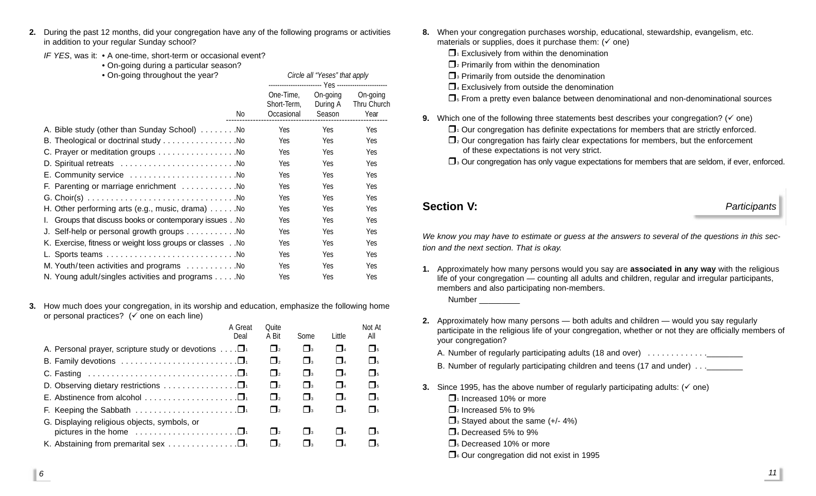**2.** During the past 12 months, did your congregation have any of the following programs or activities in addition to your regular Sunday school?

> Circle all "Yeses" that apply ------------------------ Yes -----------------------

*IF YES*, was it: • A one-time, short-term or occasional event?

• On-going during a particular season?

|  | On-going throughout the year? |  |
|--|-------------------------------|--|
|--|-------------------------------|--|

| No.                                                            | One-Time.<br>Short-Term.<br>Occasional | On-going<br>During A<br>Season | On-going<br>Thru Church<br>Year |
|----------------------------------------------------------------|----------------------------------------|--------------------------------|---------------------------------|
|                                                                | Yes                                    | Yes                            | Yes                             |
| B. Theological or doctrinal study No                           | Yes                                    | Yes                            | Yes                             |
| C. Prayer or meditation groups No                              | Yes                                    | Yes                            | Yes                             |
|                                                                | Yes                                    | Yes                            | Yes                             |
| E. Community service No                                        | Yes                                    | Yes                            | Yes                             |
| F. Parenting or marriage enrichment No                         | Yes                                    | Yes                            | Yes                             |
|                                                                | Yes.                                   | Yes.                           | Yes.                            |
| H. Other performing arts (e.g., music, drama) $\dots \dots$ No | <b>Yes</b>                             | Yes.                           | Yes.                            |
| I. Groups that discuss books or contemporary issues . No       | Yes                                    | Yes.                           | Yes                             |
| J. Self-help or personal growth groups No                      | Yes                                    | Yes                            | Yes                             |
| K. Exercise, fitness or weight loss groups or classes No       | Yes                                    | Yes.                           | Yes.                            |
|                                                                | Yes                                    | Yes                            | Yes                             |
| M. Youth/teen activities and programs No                       | Yes.                                   | Yes.                           | Yes.                            |
| N. Young adult/singles activities and programs No              | Yes                                    | Yes                            | Yes                             |
|                                                                |                                        |                                |                                 |

**3.** How much does your congregation, in its worship and education, emphasize the following home or personal practices?  $(\check{\mathsf{p}})$  one on each line)

|                                                                                | A Great | Ouite                        |                     |              | Not At              |
|--------------------------------------------------------------------------------|---------|------------------------------|---------------------|--------------|---------------------|
|                                                                                | Deal    | A Bit                        | Some                | Little       | All                 |
| A. Personal prayer, scripture study or devotions $\dots$ $\square_1$           |         | $\Box$ 2                     | $\Box$ <sub>3</sub> | $\Box$ 4     | $\Box$              |
| B. Family devotions $\ldots \ldots \ldots \ldots \ldots \ldots \ldots \square$ |         | $\Box$ <sub>2</sub>          | $\Box$ <sub>3</sub> | $\Box$       | $\Box$              |
|                                                                                |         | $\Box$                       | $\Box$ <sub>3</sub> | $\Box$       | $\Pi_{5}$           |
| D. Observing dietary restrictions $\dots \dots \dots \dots \dots \dots$        |         | $\Box$                       | $\Box$ <sub>3</sub> | $\Box$       | $\Box$              |
| E. Abstinence from alcohol $\ldots \ldots \ldots \ldots \ldots \ldots \square$ |         | $\Box$                       | $\Box$ <sub>3</sub> | $\Box$       | $\Pi_{5}$           |
|                                                                                |         | $\Box$                       | $\Box$ <sub>3</sub> | $\Box$ 4     | $\Box$              |
| G. Displaying religious objects, symbols, or                                   |         |                              |                     |              |                     |
|                                                                                |         | $\vert$ $\vert$ <sub>2</sub> | $\mathbf{I}$        | $\mathbf{I}$ | $\Box$ <sub>5</sub> |
| K. Abstaining from premarital sex $\dots \dots \dots \dots \dots \dots$        |         | $\overline{2}$               | $\mathsf{L}$        |              | $\overline{5}$      |
|                                                                                |         |                              |                     |              |                     |

- **8.** When your congregation purchases worship, educational, stewardship, evangelism, etc. materials or supplies, does it purchase them:  $(\check{ } )$  one)
	- $\Box$  Exclusively from within the denomination
	- $\Box$ <sub>2</sub> Primarily from within the denomination
	- $\Box$ <sup>3</sup> Primarily from outside the denomination
	- $\Box$ <sup>4</sup> Exclusively from outside the denomination
	- $\Box$ <sub>5</sub> From a pretty even balance between denominational and non-denominational sources
- **9.** Which one of the following three statements best describes your congregation? ( $\checkmark$  one)
	- $\Box$ <sup>1</sup> Our congregation has definite expectations for members that are strictly enforced.
	- $\Box$ <sub>2</sub> Our congregation has fairly clear expectations for members, but the enforcement of these expectations is not very strict.
	- $\Box$ <sup>3</sup> Our congregation has only vague expectations for members that are seldom, if ever, enforced.

**Section V:** *Participants*

*We know you may have to estimate or guess at the answers to several of the questions in this section and the next section. That is okay.*

**1.** Approximately how many persons would you say are **associated in any way** with the religious life of your congregation — counting all adults and children, regular and irregular participants, members and also participating non-members.

Number \_\_\_\_\_\_\_\_\_\_

- **2.** Approximately how many persons both adults and children would you say regularly participate in the religious life of your congregation, whether or not they are officially members of your congregation?
	- A. Number of regularly participating adults (18 and over) .................
	- B. Number of regularly participating children and teens (17 and under) . . .
- **3.** Since 1995, has the above number of regularly participating adults:  $(\check{\phantom{a}}$  one)
	- $\Box$ <sub>1</sub> Increased 10% or more
	- $\Box$ <sub>2</sub> Increased 5% to 9%
	- $\Box$ <sup>3</sup> Stayed about the same (+/- 4%)
	- $\Box$ <sub>4</sub> Decreased 5% to 9%
	- $\Box$ <sub>5</sub> Decreased 10% or more
	- $\Box$  Our congregation did not exist in 1995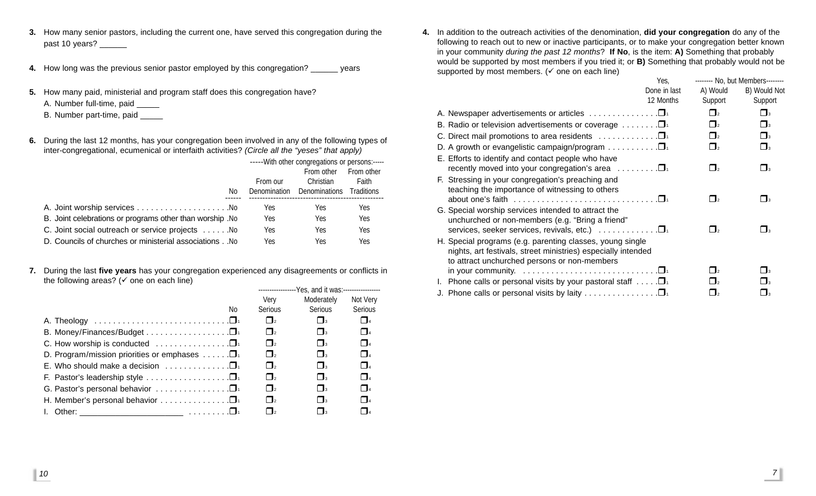- **3.** How many senior pastors, including the current one, have served this congregation during the past 10 years? \_\_\_\_\_\_
- **4.** How long was the previous senior pastor employed by this congregation? \_\_\_\_\_\_ years
- **5.** How many paid, ministerial and program staff does this congregation have? A. Number full-time, paid \_\_\_\_\_ B. Number part-time, paid \_\_\_\_\_
- **6.** During the last 12 months, has your congregation been involved in any of the following types of

inter-congregational, ecumenical or interfaith activities? *(Circle all the "yeses" that apply)*

|                                                           | -----With other congregations or persons:----- |               |                   |
|-----------------------------------------------------------|------------------------------------------------|---------------|-------------------|
|                                                           |                                                | From other    | <b>From other</b> |
|                                                           | From our                                       | Christian     | Faith             |
| No.                                                       | Denomination                                   | Denominations | Traditions        |
|                                                           | Yes.                                           | Yes.          | Yes               |
| B. Joint celebrations or programs other than worship . No | Yes                                            | Yes.          | Yes               |
| C. Joint social outreach or service projects No           | Yes                                            | Yes           | Yes               |
| D. Councils of churches or ministerial associations . No  | Yes                                            | Yes           | Yes               |

**7.** During the last **five years** has your congregation experienced any disagreements or conflicts in the following areas? ( $\checkmark$  one on each line)

| $1.10$ . The straightforward straightforward in the straightforward in the straight straight of $1.00$ |                                                  |                     |                |  |
|--------------------------------------------------------------------------------------------------------|--------------------------------------------------|---------------------|----------------|--|
|                                                                                                        | ----------------Yes, and it was:---------------- |                     |                |  |
|                                                                                                        | Verv                                             | Moderately          | Not Very       |  |
| No.                                                                                                    | Serious                                          | <b>Serious</b>      | Serious        |  |
|                                                                                                        | $\prod_{2}$                                      | $\Box$ <sub>3</sub> | $\Box$ 4       |  |
|                                                                                                        | $\Box$ <sub>2</sub>                              | $\Box$ <sub>3</sub> | $\Box$ 4       |  |
| C. How worship is conducted $\ldots \ldots \ldots \ldots \ldots \square$                               | $\prod_{2}$                                      | $\Box$ <sub>3</sub> | $\Box$ 4       |  |
| D. Program/mission priorities or emphases $\dots \dots \square$                                        | $\prod_{2}$                                      | $\Box$ <sub>3</sub> | $\Box$         |  |
| E. Who should make a decision $\ldots$                                                                 | $\Box$ <sub>2</sub>                              | $\Box$ <sub>3</sub> | $\Box$ 4       |  |
| F. Pastor's leadership style $\ldots \ldots \ldots \ldots \ldots \square$                              | $\Box$ <sub>2</sub>                              | $\Box$ <sup>3</sup> | $\Box$         |  |
| G. Pastor's personal behavior $\ldots \ldots \ldots \ldots \ldots$                                     | $\Box$ <sub>2</sub>                              | $\Box$ <sub>3</sub> | $\Box$         |  |
| H. Member's personal behavior $\ldots \ldots \ldots \ldots \square$                                    | $\Box$ <sub>2</sub>                              | $\Box$ <sub>3</sub> | $\Box$         |  |
|                                                                                                        | $\Box$ <sub>2</sub>                              | $\mathbf{R}$        | $\overline{a}$ |  |
|                                                                                                        |                                                  |                     |                |  |

**4.** In addition to the outreach activities of the denomination, **did your congregation** do any of the following to reach out to new or inactive participants, or to make your congregation better known in your community *during the past 12 months*? **If No**, is the item: **A)** Something that probably would be supported by most members if you tried it; or **B)** Something that probably would not be supported by most members. ( $\checkmark$  one on each line)  $\mathbf{y}_i$ 

|                                                                                                                                                                                      | Yes,         |                     | -------- No, but Members-------- |
|--------------------------------------------------------------------------------------------------------------------------------------------------------------------------------------|--------------|---------------------|----------------------------------|
|                                                                                                                                                                                      | Done in last | A) Would            | B) Would Not                     |
|                                                                                                                                                                                      | 12 Months    | Support             | Support                          |
| A. Newspaper advertisements or articles $\ldots \ldots \ldots \ldots \square$                                                                                                        |              | $\Box$ <sub>2</sub> | $\Box$ <sub>3</sub>              |
| B. Radio or television advertisements or coverage $\dots \dots \square$                                                                                                              |              | $\Box$ <sub>2</sub> | $\Box$ <sub>3</sub>              |
| C. Direct mail promotions to area residents $\dots \dots \dots \dots \dots$                                                                                                          |              | $\Box$ <sub>2</sub> | $\Box$ <sub>3</sub>              |
| D. A growth or evangelistic campaign/program $\dots \dots \dots \square$                                                                                                             |              | $\Box$ <sub>2</sub> | $\Box$                           |
| E. Efforts to identify and contact people who have<br>recently moved into your congregation's area $\ldots \ldots \square$                                                           |              | $\Box$ <sub>2</sub> | $\Box$ <sub>3</sub>              |
| F. Stressing in your congregation's preaching and<br>teaching the importance of witnessing to others                                                                                 |              | $\Box$ 2            | $\Box_3$                         |
| G. Special worship services intended to attract the<br>unchurched or non-members (e.g. "Bring a friend"<br>services, seeker services, revivals, etc.) $\ldots \ldots \ldots \square$ |              | $\Box$              | $\mathbf{I}$                     |
| H. Special programs (e.g. parenting classes, young single<br>nights, art festivals, street ministries) especially intended<br>to attract unchurched persons or non-members           |              |                     |                                  |
|                                                                                                                                                                                      |              | $\mathsf{\Pi}_{2}$  | $\Box$ 3                         |
| Phone calls or personal visits by your pastoral staff $\ldots \Box$<br>L.                                                                                                            |              | $\Box$ 2            | $\Box$                           |
| J. Phone calls or personal visits by laity $\Box$                                                                                                                                    |              | $\Box$ 2            | $\Box_3$                         |
|                                                                                                                                                                                      |              |                     |                                  |